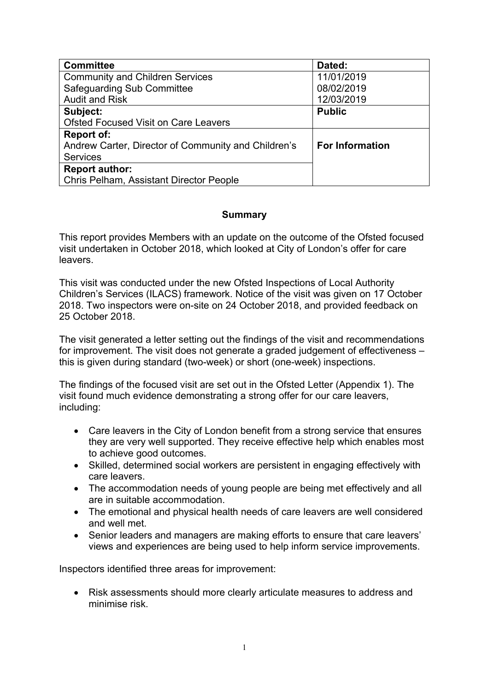| <b>Committee</b>                                    | Dated:                 |
|-----------------------------------------------------|------------------------|
| <b>Community and Children Services</b>              | 11/01/2019             |
| <b>Safeguarding Sub Committee</b>                   | 08/02/2019             |
| <b>Audit and Risk</b>                               | 12/03/2019             |
| Subject:                                            | <b>Public</b>          |
| <b>Ofsted Focused Visit on Care Leavers</b>         |                        |
| <b>Report of:</b>                                   |                        |
| Andrew Carter, Director of Community and Children's | <b>For Information</b> |
| <b>Services</b>                                     |                        |
| <b>Report author:</b>                               |                        |
| <b>Chris Pelham, Assistant Director People</b>      |                        |

## **Summary**

This report provides Members with an update on the outcome of the Ofsted focused visit undertaken in October 2018, which looked at City of London's offer for care leavers.

This visit was conducted under the new Ofsted Inspections of Local Authority Children's Services (ILACS) framework. Notice of the visit was given on 17 October 2018. Two inspectors were on-site on 24 October 2018, and provided feedback on 25 October 2018.

The visit generated a letter setting out the findings of the visit and recommendations for improvement. The visit does not generate a graded judgement of effectiveness – this is given during standard (two-week) or short (one-week) inspections.

The findings of the focused visit are set out in the Ofsted Letter (Appendix 1). The visit found much evidence demonstrating a strong offer for our care leavers, including:

- Care leavers in the City of London benefit from a strong service that ensures they are very well supported. They receive effective help which enables most to achieve good outcomes.
- Skilled, determined social workers are persistent in engaging effectively with care leavers.
- The accommodation needs of young people are being met effectively and all are in suitable accommodation.
- The emotional and physical health needs of care leavers are well considered and well met.
- Senior leaders and managers are making efforts to ensure that care leavers' views and experiences are being used to help inform service improvements.

Inspectors identified three areas for improvement:

 Risk assessments should more clearly articulate measures to address and minimise risk.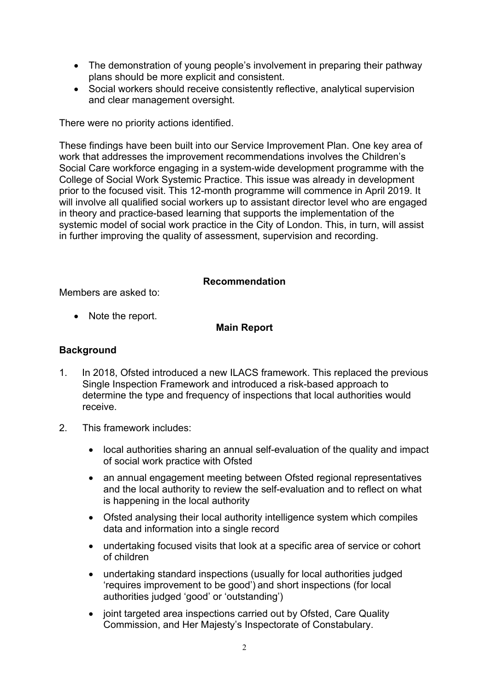- The demonstration of young people's involvement in preparing their pathway plans should be more explicit and consistent.
- Social workers should receive consistently reflective, analytical supervision and clear management oversight.

There were no priority actions identified.

These findings have been built into our Service Improvement Plan. One key area of work that addresses the improvement recommendations involves the Children's Social Care workforce engaging in a system-wide development programme with the College of Social Work Systemic Practice. This issue was already in development prior to the focused visit. This 12-month programme will commence in April 2019. It will involve all qualified social workers up to assistant director level who are engaged in theory and practice-based learning that supports the implementation of the systemic model of social work practice in the City of London. This, in turn, will assist in further improving the quality of assessment, supervision and recording.

## **Recommendation**

Members are asked to:

• Note the report.

## **Main Report**

## **Background**

- 1. In 2018, Ofsted introduced a new ILACS framework. This replaced the previous Single Inspection Framework and introduced a risk-based approach to determine the type and frequency of inspections that local authorities would receive.
- 2. This framework includes:
	- local authorities sharing an annual self-evaluation of the quality and impact of social work practice with Ofsted
	- an annual engagement meeting between Ofsted regional representatives and the local authority to review the self-evaluation and to reflect on what is happening in the local authority
	- Ofsted analysing their local authority intelligence system which compiles data and information into a single record
	- undertaking focused visits that look at a specific area of service or cohort of children
	- undertaking standard inspections (usually for local authorities judged 'requires improvement to be good') and short inspections (for local authorities judged 'good' or 'outstanding')
	- joint targeted area inspections carried out by Ofsted, Care Quality Commission, and Her Majesty's Inspectorate of Constabulary.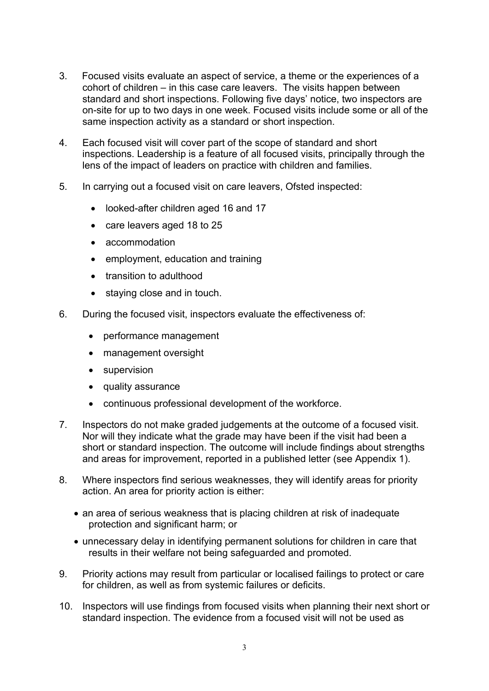- 3. Focused visits evaluate an aspect of service, a theme or the experiences of a cohort of children – in this case care leavers. The visits happen between standard and short inspections. Following five days' notice, two inspectors are on-site for up to two days in one week. Focused visits include some or all of the same inspection activity as a standard or short inspection.
- 4. Each focused visit will cover part of the scope of standard and short inspections. Leadership is a feature of all focused visits, principally through the lens of the impact of leaders on practice with children and families.
- 5. In carrying out a focused visit on care leavers, Ofsted inspected:
	- looked-after children aged 16 and 17
	- care leavers aged 18 to 25
	- accommodation
	- employment, education and training
	- transition to adulthood
	- staying close and in touch.
- 6. During the focused visit, inspectors evaluate the effectiveness of:
	- performance management
	- management oversight
	- supervision
	- quality assurance
	- continuous professional development of the workforce.
- 7. Inspectors do not make graded judgements at the outcome of a focused visit. Nor will they indicate what the grade may have been if the visit had been a short or standard inspection. The outcome will include findings about strengths and areas for improvement, reported in a published letter (see Appendix 1).
- 8. Where inspectors find serious weaknesses, they will identify areas for priority action. An area for priority action is either:
	- an area of serious weakness that is placing children at risk of inadequate protection and significant harm; or
	- unnecessary delay in identifying permanent solutions for children in care that results in their welfare not being safeguarded and promoted.
- 9. Priority actions may result from particular or localised failings to protect or care for children, as well as from systemic failures or deficits.
- 10. Inspectors will use findings from focused visits when planning their next short or standard inspection. The evidence from a focused visit will not be used as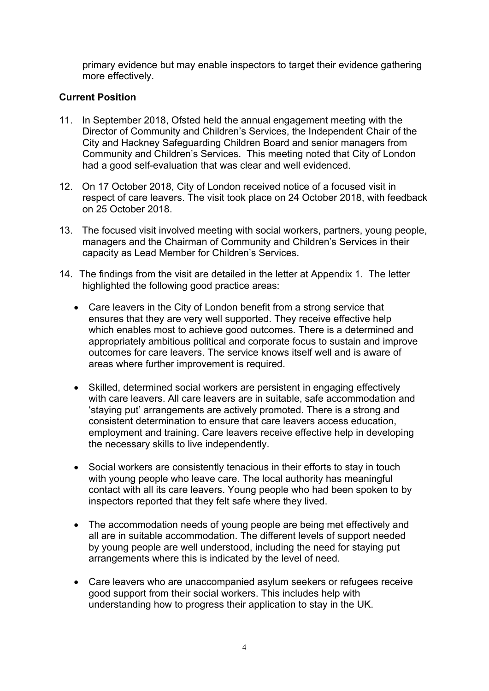primary evidence but may enable inspectors to target their evidence gathering more effectively.

# **Current Position**

- 11. In September 2018, Ofsted held the annual engagement meeting with the Director of Community and Children's Services, the Independent Chair of the City and Hackney Safeguarding Children Board and senior managers from Community and Children's Services. This meeting noted that City of London had a good self-evaluation that was clear and well evidenced.
- 12. On 17 October 2018, City of London received notice of a focused visit in respect of care leavers. The visit took place on 24 October 2018, with feedback on 25 October 2018.
- 13. The focused visit involved meeting with social workers, partners, young people, managers and the Chairman of Community and Children's Services in their capacity as Lead Member for Children's Services.
- 14. The findings from the visit are detailed in the letter at Appendix 1. The letter highlighted the following good practice areas:
	- Care leavers in the City of London benefit from a strong service that ensures that they are very well supported. They receive effective help which enables most to achieve good outcomes. There is a determined and appropriately ambitious political and corporate focus to sustain and improve outcomes for care leavers. The service knows itself well and is aware of areas where further improvement is required.
	- Skilled, determined social workers are persistent in engaging effectively with care leavers. All care leavers are in suitable, safe accommodation and 'staying put' arrangements are actively promoted. There is a strong and consistent determination to ensure that care leavers access education, employment and training. Care leavers receive effective help in developing the necessary skills to live independently.
	- Social workers are consistently tenacious in their efforts to stay in touch with young people who leave care. The local authority has meaningful contact with all its care leavers. Young people who had been spoken to by inspectors reported that they felt safe where they lived.
	- The accommodation needs of young people are being met effectively and all are in suitable accommodation. The different levels of support needed by young people are well understood, including the need for staying put arrangements where this is indicated by the level of need.
	- Care leavers who are unaccompanied asylum seekers or refugees receive good support from their social workers. This includes help with understanding how to progress their application to stay in the UK.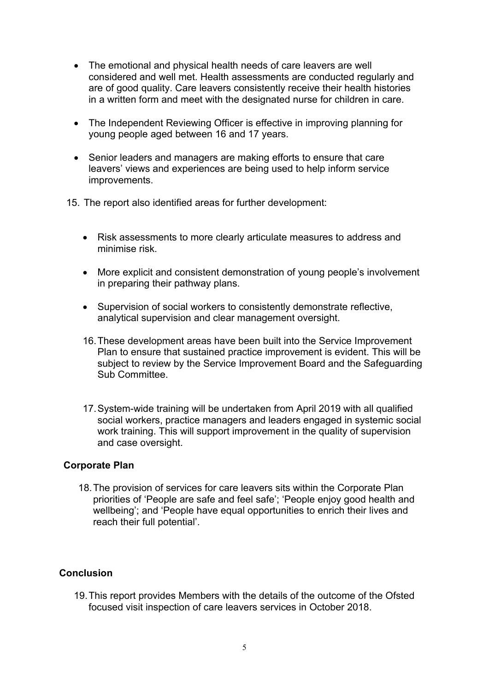- The emotional and physical health needs of care leavers are well considered and well met. Health assessments are conducted regularly and are of good quality. Care leavers consistently receive their health histories in a written form and meet with the designated nurse for children in care.
- The Independent Reviewing Officer is effective in improving planning for young people aged between 16 and 17 years.
- Senior leaders and managers are making efforts to ensure that care leavers' views and experiences are being used to help inform service improvements.
- 15. The report also identified areas for further development:
	- Risk assessments to more clearly articulate measures to address and minimise risk.
	- More explicit and consistent demonstration of young people's involvement in preparing their pathway plans.
	- Supervision of social workers to consistently demonstrate reflective, analytical supervision and clear management oversight.
	- 16.These development areas have been built into the Service Improvement Plan to ensure that sustained practice improvement is evident. This will be subject to review by the Service Improvement Board and the Safeguarding Sub Committee.
	- 17.System-wide training will be undertaken from April 2019 with all qualified social workers, practice managers and leaders engaged in systemic social work training. This will support improvement in the quality of supervision and case oversight.

## **Corporate Plan**

18.The provision of services for care leavers sits within the Corporate Plan priorities of 'People are safe and feel safe'; 'People enjoy good health and wellbeing'; and 'People have equal opportunities to enrich their lives and reach their full potential'.

## **Conclusion**

19.This report provides Members with the details of the outcome of the Ofsted focused visit inspection of care leavers services in October 2018.